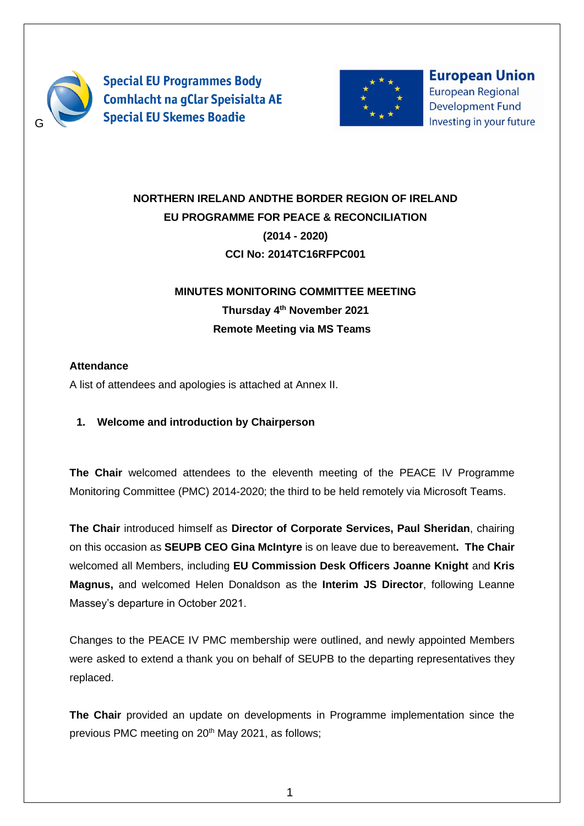

**Special EU Programmes Body Comhlacht na gClar Speisialta AE Special EU Skemes Boadie** 



**European Union European Regional Development Fund** Investing in your future

# **NORTHERN IRELAND ANDTHE BORDER REGION OF IRELAND EU PROGRAMME FOR PEACE & RECONCILIATION (2014 - 2020) CCI No: 2014TC16RFPC001**

# **MINUTES MONITORING COMMITTEE MEETING Thursday 4 th November 2021 Remote Meeting via MS Teams**

## **Attendance**

A list of attendees and apologies is attached at Annex II.

## **1. Welcome and introduction by Chairperson**

**The Chair** welcomed attendees to the eleventh meeting of the PEACE IV Programme Monitoring Committee (PMC) 2014-2020; the third to be held remotely via Microsoft Teams.

**The Chair** introduced himself as **Director of Corporate Services, Paul Sheridan**, chairing on this occasion as **SEUPB CEO Gina McIntyre** is on leave due to bereavement**. The Chair**  welcomed all Members, including **EU Commission Desk Officers Joanne Knight** and **Kris Magnus,** and welcomed Helen Donaldson as the **Interim JS Director**, following Leanne Massey's departure in October 2021.

Changes to the PEACE IV PMC membership were outlined, and newly appointed Members were asked to extend a thank you on behalf of SEUPB to the departing representatives they replaced.

**The Chair** provided an update on developments in Programme implementation since the previous PMC meeting on 20<sup>th</sup> May 2021, as follows;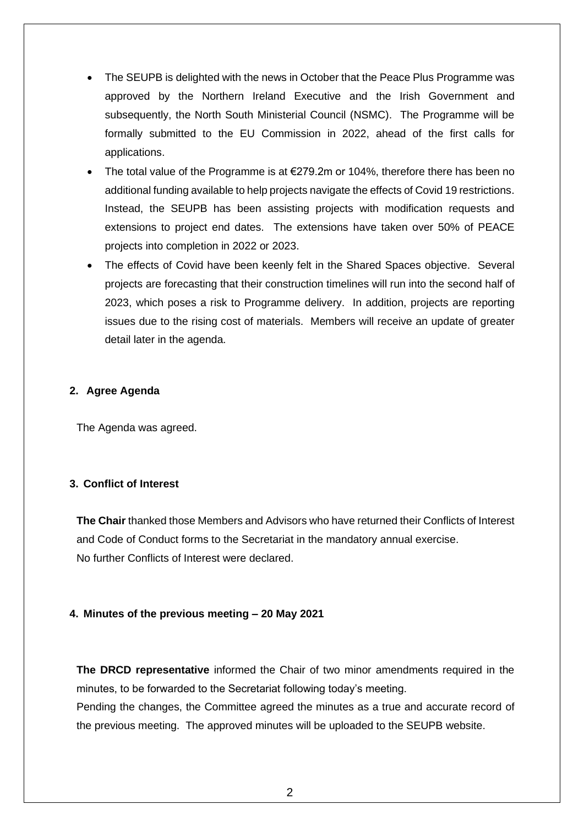- The SEUPB is delighted with the news in October that the Peace Plus Programme was approved by the Northern Ireland Executive and the Irish Government and subsequently, the North South Ministerial Council (NSMC). The Programme will be formally submitted to the EU Commission in 2022, ahead of the first calls for applications.
- The total value of the Programme is at €279.2m or 104%, therefore there has been no additional funding available to help projects navigate the effects of Covid 19 restrictions. Instead, the SEUPB has been assisting projects with modification requests and extensions to project end dates. The extensions have taken over 50% of PEACE projects into completion in 2022 or 2023.
- The effects of Covid have been keenly felt in the Shared Spaces objective. Several projects are forecasting that their construction timelines will run into the second half of 2023, which poses a risk to Programme delivery. In addition, projects are reporting issues due to the rising cost of materials. Members will receive an update of greater detail later in the agenda.

## **2. Agree Agenda**

The Agenda was agreed.

## **3. Conflict of Interest**

**The Chair** thanked those Members and Advisors who have returned their Conflicts of Interest and Code of Conduct forms to the Secretariat in the mandatory annual exercise. No further Conflicts of Interest were declared.

#### **4. Minutes of the previous meeting – 20 May 2021**

**The DRCD representative** informed the Chair of two minor amendments required in the minutes, to be forwarded to the Secretariat following today's meeting. Pending the changes, the Committee agreed the minutes as a true and accurate record of the previous meeting. The approved minutes will be uploaded to the SEUPB website.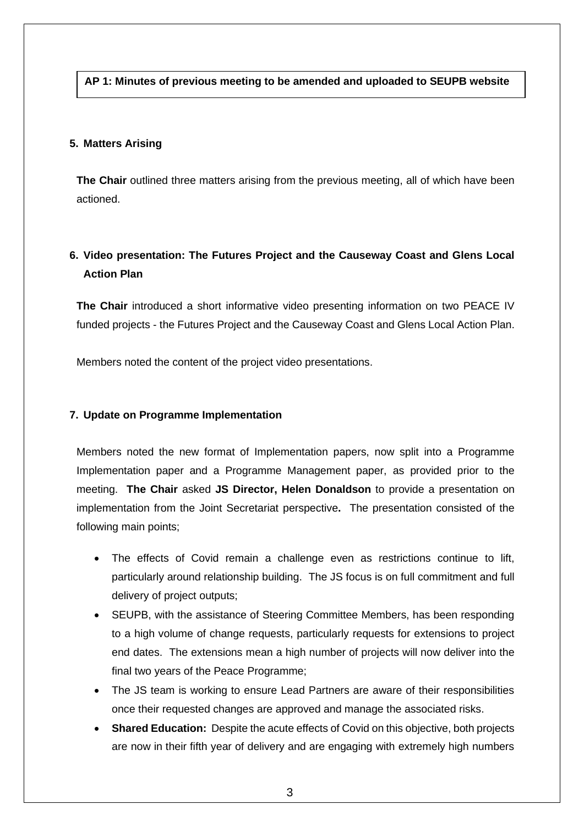#### **AP 1: Minutes of previous meeting to be amended and uploaded to SEUPB website**

#### **5. Matters Arising**

**The Chair** outlined three matters arising from the previous meeting, all of which have been actioned.

## **6. Video presentation: The Futures Project and the Causeway Coast and Glens Local Action Plan**

**The Chair** introduced a short informative video presenting information on two PEACE IV funded projects - the Futures Project and the Causeway Coast and Glens Local Action Plan.

Members noted the content of the project video presentations.

#### **7. Update on Programme Implementation**

Members noted the new format of Implementation papers, now split into a Programme Implementation paper and a Programme Management paper, as provided prior to the meeting. **The Chair** asked **JS Director, Helen Donaldson** to provide a presentation on implementation from the Joint Secretariat perspective**.** The presentation consisted of the following main points;

- The effects of Covid remain a challenge even as restrictions continue to lift, particularly around relationship building. The JS focus is on full commitment and full delivery of project outputs;
- SEUPB, with the assistance of Steering Committee Members, has been responding to a high volume of change requests, particularly requests for extensions to project end dates. The extensions mean a high number of projects will now deliver into the final two years of the Peace Programme;
- The JS team is working to ensure Lead Partners are aware of their responsibilities once their requested changes are approved and manage the associated risks.
- **Shared Education:** Despite the acute effects of Covid on this objective, both projects are now in their fifth year of delivery and are engaging with extremely high numbers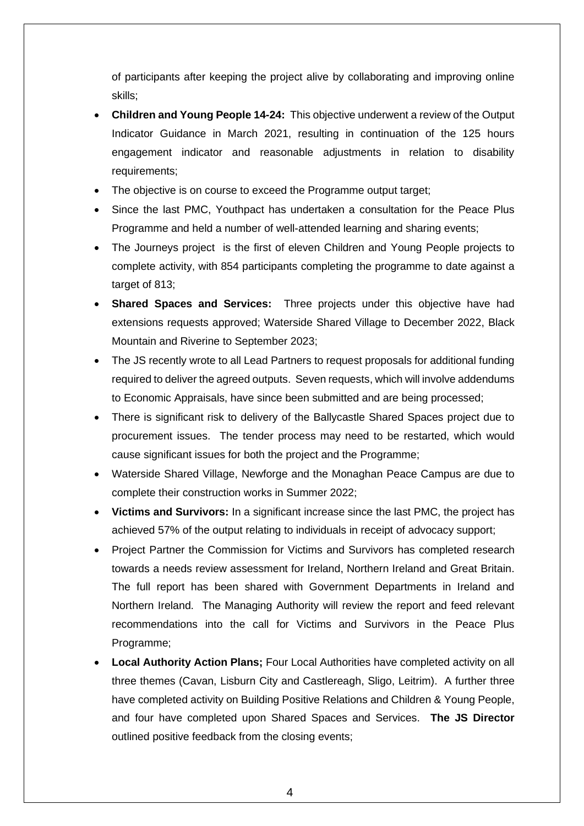of participants after keeping the project alive by collaborating and improving online skills;

- **Children and Young People 14-24:** This objective underwent a review of the Output Indicator Guidance in March 2021, resulting in continuation of the 125 hours engagement indicator and reasonable adjustments in relation to disability requirements;
- The objective is on course to exceed the Programme output target;
- Since the last PMC, Youthpact has undertaken a consultation for the Peace Plus Programme and held a number of well-attended learning and sharing events;
- The Journeys project is the first of eleven Children and Young People projects to complete activity, with 854 participants completing the programme to date against a target of 813;
- **Shared Spaces and Services:** Three projects under this objective have had extensions requests approved; Waterside Shared Village to December 2022, Black Mountain and Riverine to September 2023;
- The JS recently wrote to all Lead Partners to request proposals for additional funding required to deliver the agreed outputs. Seven requests, which will involve addendums to Economic Appraisals, have since been submitted and are being processed;
- There is significant risk to delivery of the Ballycastle Shared Spaces project due to procurement issues. The tender process may need to be restarted, which would cause significant issues for both the project and the Programme;
- Waterside Shared Village, Newforge and the Monaghan Peace Campus are due to complete their construction works in Summer 2022;
- **Victims and Survivors:** In a significant increase since the last PMC, the project has achieved 57% of the output relating to individuals in receipt of advocacy support;
- Project Partner the Commission for Victims and Survivors has completed research towards a needs review assessment for Ireland, Northern Ireland and Great Britain. The full report has been shared with Government Departments in Ireland and Northern Ireland. The Managing Authority will review the report and feed relevant recommendations into the call for Victims and Survivors in the Peace Plus Programme;
- **Local Authority Action Plans;** Four Local Authorities have completed activity on all three themes (Cavan, Lisburn City and Castlereagh, Sligo, Leitrim). A further three have completed activity on Building Positive Relations and Children & Young People, and four have completed upon Shared Spaces and Services. **The JS Director** outlined positive feedback from the closing events;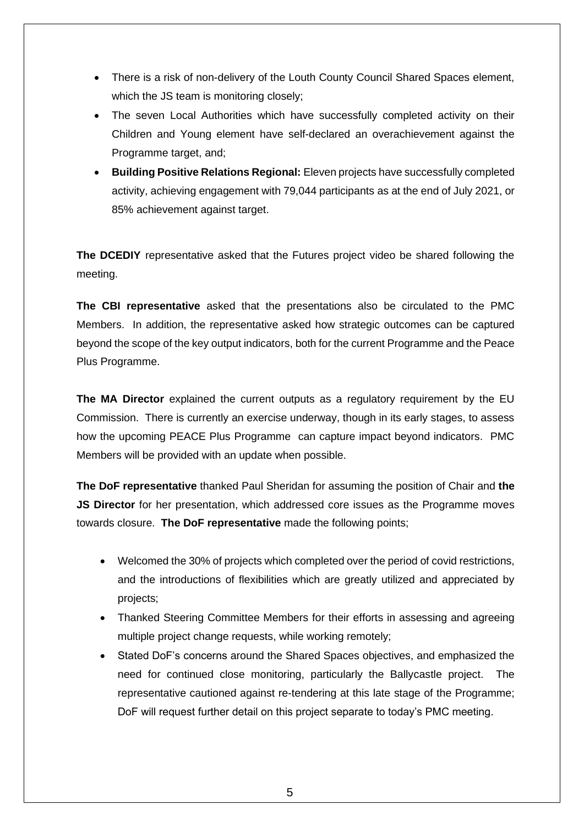- There is a risk of non-delivery of the Louth County Council Shared Spaces element, which the JS team is monitoring closely;
- The seven Local Authorities which have successfully completed activity on their Children and Young element have self-declared an overachievement against the Programme target, and;
- **Building Positive Relations Regional:** Eleven projects have successfully completed activity, achieving engagement with 79,044 participants as at the end of July 2021, or 85% achievement against target.

**The DCEDIY** representative asked that the Futures project video be shared following the meeting.

**The CBI representative** asked that the presentations also be circulated to the PMC Members. In addition, the representative asked how strategic outcomes can be captured beyond the scope of the key output indicators, both for the current Programme and the Peace Plus Programme.

**The MA Director** explained the current outputs as a regulatory requirement by the EU Commission. There is currently an exercise underway, though in its early stages, to assess how the upcoming PEACE Plus Programme can capture impact beyond indicators. PMC Members will be provided with an update when possible.

**The DoF representative** thanked Paul Sheridan for assuming the position of Chair and **the JS Director** for her presentation, which addressed core issues as the Programme moves towards closure. **The DoF representative** made the following points;

- Welcomed the 30% of projects which completed over the period of covid restrictions, and the introductions of flexibilities which are greatly utilized and appreciated by projects;
- Thanked Steering Committee Members for their efforts in assessing and agreeing multiple project change requests, while working remotely;
- Stated DoF's concerns around the Shared Spaces objectives, and emphasized the need for continued close monitoring, particularly the Ballycastle project. representative cautioned against re-tendering at this late stage of the Programme; DoF will request further detail on this project separate to today's PMC meeting.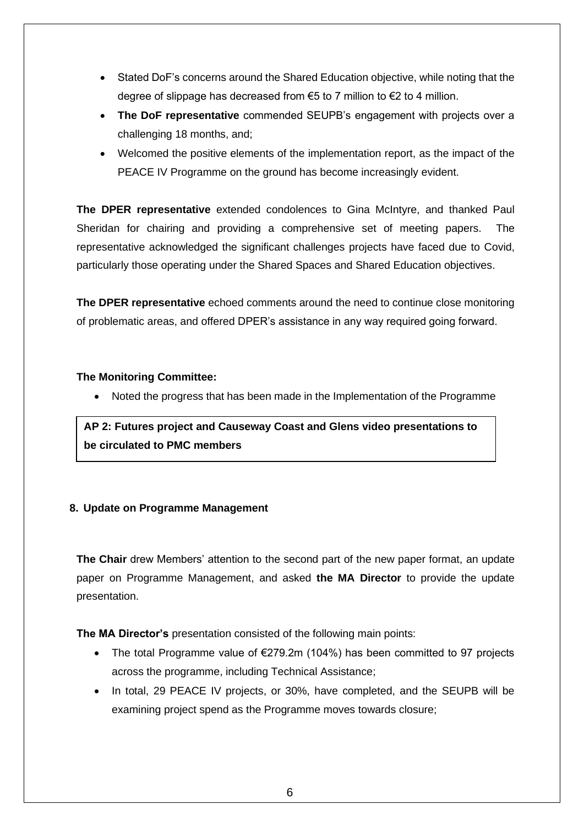- Stated DoF's concerns around the Shared Education objective, while noting that the degree of slippage has decreased from  $\epsilon$ 5 to 7 million to  $\epsilon$ 2 to 4 million.
- **The DoF representative** commended SEUPB's engagement with projects over a challenging 18 months, and;
- Welcomed the positive elements of the implementation report, as the impact of the PEACE IV Programme on the ground has become increasingly evident.

**The DPER representative** extended condolences to Gina McIntyre, and thanked Paul Sheridan for chairing and providing a comprehensive set of meeting papers. The representative acknowledged the significant challenges projects have faced due to Covid, particularly those operating under the Shared Spaces and Shared Education objectives.

**The DPER representative** echoed comments around the need to continue close monitoring of problematic areas, and offered DPER's assistance in any way required going forward.

## **The Monitoring Committee:**

• Noted the progress that has been made in the Implementation of the Programme

**AP 2: Futures project and Causeway Coast and Glens video presentations to be circulated to PMC members**

## **8. Update on Programme Management**

**The Chair** drew Members' attention to the second part of the new paper format, an update paper on Programme Management, and asked **the MA Director** to provide the update presentation.

**The MA Director's** presentation consisted of the following main points:

- The total Programme value of €279.2m (104%) has been committed to 97 projects across the programme, including Technical Assistance;
- In total, 29 PEACE IV projects, or 30%, have completed, and the SEUPB will be examining project spend as the Programme moves towards closure;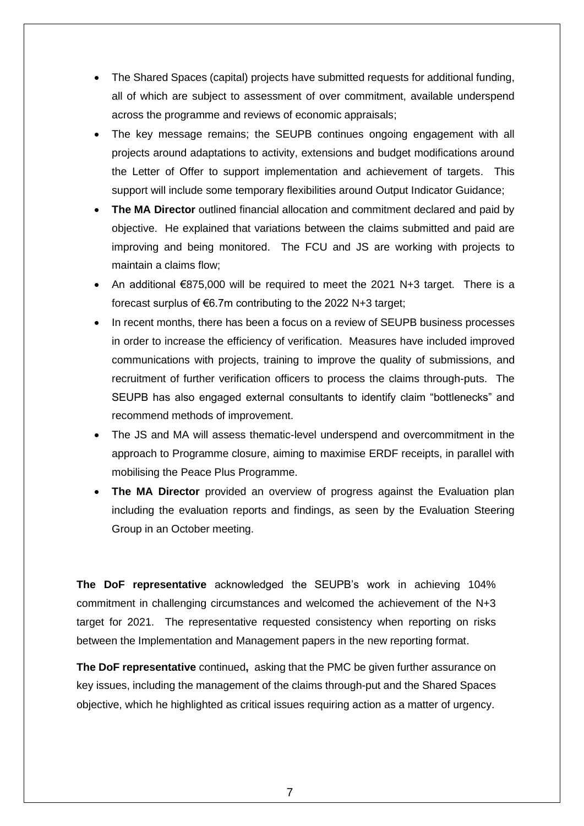- The Shared Spaces (capital) projects have submitted requests for additional funding, all of which are subject to assessment of over commitment, available underspend across the programme and reviews of economic appraisals;
- The key message remains; the SEUPB continues ongoing engagement with all projects around adaptations to activity, extensions and budget modifications around the Letter of Offer to support implementation and achievement of targets. This support will include some temporary flexibilities around Output Indicator Guidance;
- **The MA Director** outlined financial allocation and commitment declared and paid by objective. He explained that variations between the claims submitted and paid are improving and being monitored. The FCU and JS are working with projects to maintain a claims flow;
- An additional  $\epsilon$ 875,000 will be required to meet the 2021 N+3 target. There is a forecast surplus of €6.7m contributing to the 2022 N+3 target;
- In recent months, there has been a focus on a review of SEUPB business processes in order to increase the efficiency of verification. Measures have included improved communications with projects, training to improve the quality of submissions, and recruitment of further verification officers to process the claims through-puts. The SEUPB has also engaged external consultants to identify claim "bottlenecks" and recommend methods of improvement.
- The JS and MA will assess thematic-level underspend and overcommitment in the approach to Programme closure, aiming to maximise ERDF receipts, in parallel with mobilising the Peace Plus Programme.
- **The MA Director** provided an overview of progress against the Evaluation plan including the evaluation reports and findings, as seen by the Evaluation Steering Group in an October meeting.

**The DoF representative** acknowledged the SEUPB's work in achieving 104% commitment in challenging circumstances and welcomed the achievement of the N+3 target for 2021. The representative requested consistency when reporting on risks between the Implementation and Management papers in the new reporting format.

**The DoF representative** continued**,** asking that the PMC be given further assurance on key issues, including the management of the claims through-put and the Shared Spaces objective, which he highlighted as critical issues requiring action as a matter of urgency.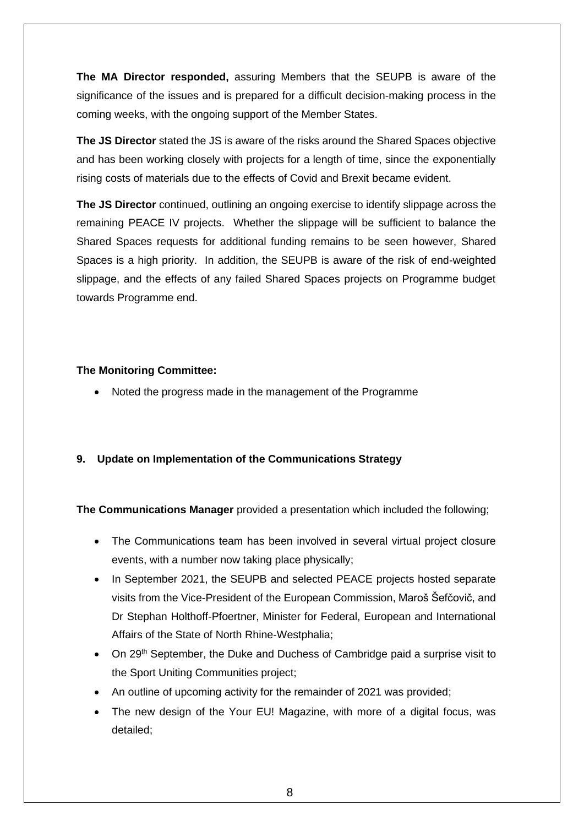**The MA Director responded,** assuring Members that the SEUPB is aware of the significance of the issues and is prepared for a difficult decision-making process in the coming weeks, with the ongoing support of the Member States.

**The JS Director** stated the JS is aware of the risks around the Shared Spaces objective and has been working closely with projects for a length of time, since the exponentially rising costs of materials due to the effects of Covid and Brexit became evident.

**The JS Director** continued, outlining an ongoing exercise to identify slippage across the remaining PEACE IV projects. Whether the slippage will be sufficient to balance the Shared Spaces requests for additional funding remains to be seen however, Shared Spaces is a high priority. In addition, the SEUPB is aware of the risk of end-weighted slippage, and the effects of any failed Shared Spaces projects on Programme budget towards Programme end.

#### **The Monitoring Committee:**

• Noted the progress made in the management of the Programme

## **9. Update on Implementation of the Communications Strategy**

**The Communications Manager** provided a presentation which included the following;

- The Communications team has been involved in several virtual project closure events, with a number now taking place physically;
- In September 2021, the SEUPB and selected PEACE projects hosted separate visits from the Vice-President of the European Commission, Maroš Šefčovič, and Dr Stephan Holthoff-Pfoertner, Minister for Federal, European and International Affairs of the State of North Rhine-Westphalia;
- On 29<sup>th</sup> September, the Duke and Duchess of Cambridge paid a surprise visit to the Sport Uniting Communities project;
- An outline of upcoming activity for the remainder of 2021 was provided;
- The new design of the Your EU! Magazine, with more of a digital focus, was detailed;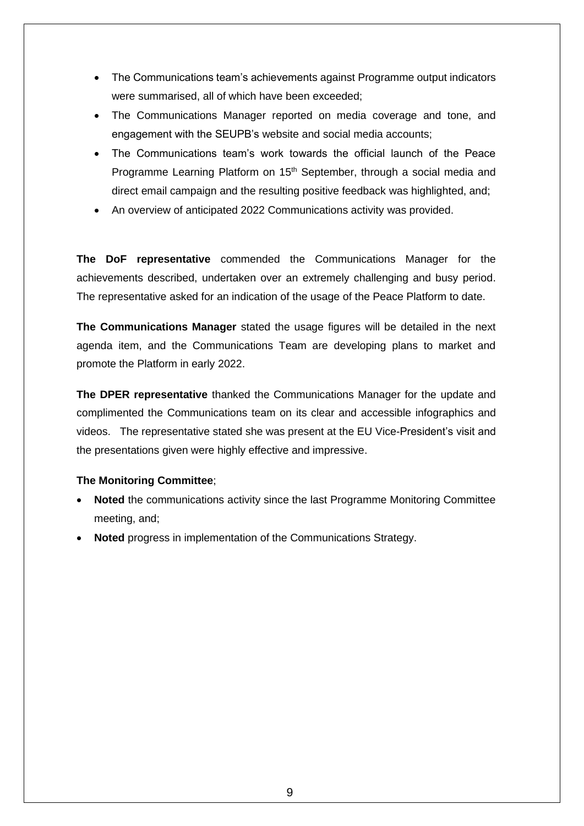- The Communications team's achievements against Programme output indicators were summarised, all of which have been exceeded;
- The Communications Manager reported on media coverage and tone, and engagement with the SEUPB's website and social media accounts;
- The Communications team's work towards the official launch of the Peace Programme Learning Platform on 15<sup>th</sup> September, through a social media and direct email campaign and the resulting positive feedback was highlighted, and;
- An overview of anticipated 2022 Communications activity was provided.

**The DoF representative** commended the Communications Manager for the achievements described, undertaken over an extremely challenging and busy period. The representative asked for an indication of the usage of the Peace Platform to date.

**The Communications Manager** stated the usage figures will be detailed in the next agenda item, and the Communications Team are developing plans to market and promote the Platform in early 2022.

**The DPER representative** thanked the Communications Manager for the update and complimented the Communications team on its clear and accessible infographics and videos. The representative stated she was present at the EU Vice-President's visit and the presentations given were highly effective and impressive.

## **The Monitoring Committee**;

- **Noted** the communications activity since the last Programme Monitoring Committee meeting, and;
- **Noted** progress in implementation of the Communications Strategy.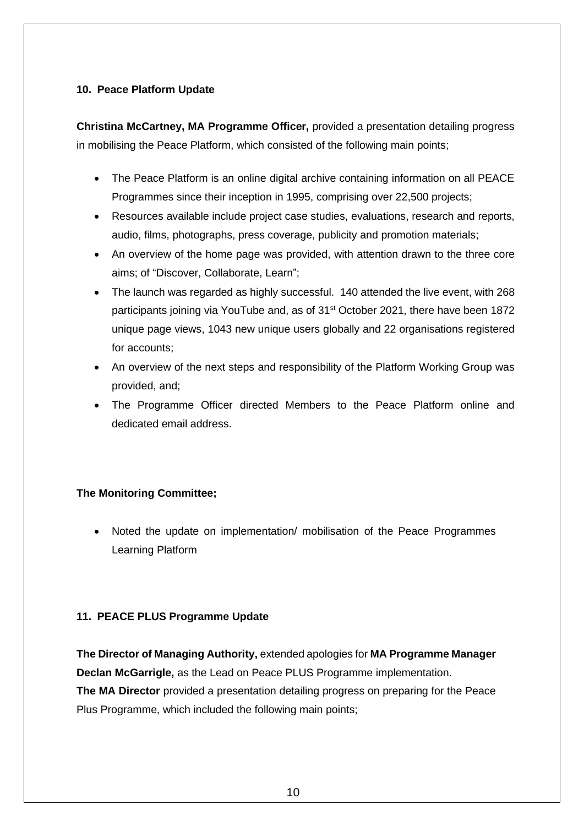## **10. Peace Platform Update**

**Christina McCartney, MA Programme Officer,** provided a presentation detailing progress in mobilising the Peace Platform, which consisted of the following main points;

- The Peace Platform is an online digital archive containing information on all PEACE Programmes since their inception in 1995, comprising over 22,500 projects;
- Resources available include project case studies, evaluations, research and reports, audio, films, photographs, press coverage, publicity and promotion materials;
- An overview of the home page was provided, with attention drawn to the three core aims; of "Discover, Collaborate, Learn";
- The launch was regarded as highly successful. 140 attended the live event, with 268 participants joining via YouTube and, as of 31<sup>st</sup> October 2021, there have been 1872 unique page views, 1043 new unique users globally and 22 organisations registered for accounts;
- An overview of the next steps and responsibility of the Platform Working Group was provided, and;
- The Programme Officer directed Members to the Peace Platform online and dedicated email address.

## **The Monitoring Committee;**

• Noted the update on implementation/ mobilisation of the Peace Programmes Learning Platform

#### **11. PEACE PLUS Programme Update**

**The Director of Managing Authority,** extended apologies for **MA Programme Manager Declan McGarrigle,** as the Lead on Peace PLUS Programme implementation. **The MA Director** provided a presentation detailing progress on preparing for the Peace Plus Programme, which included the following main points;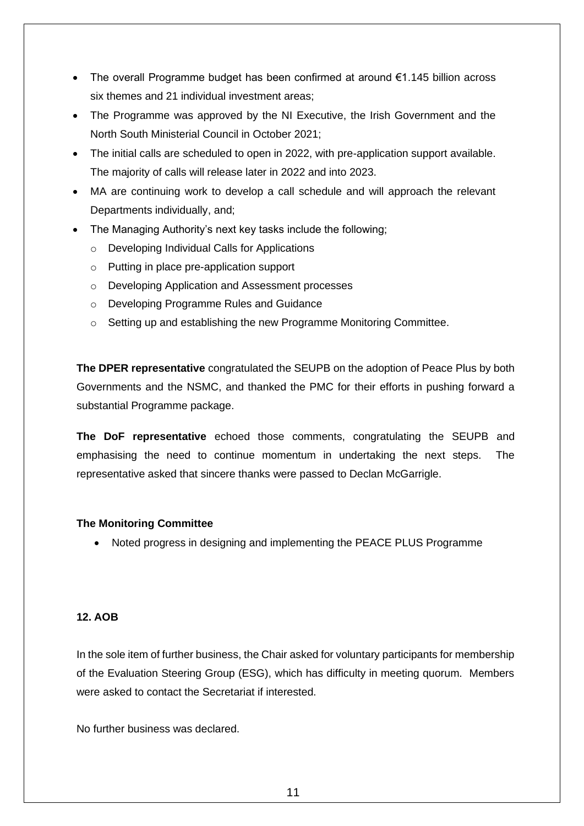- The overall Programme budget has been confirmed at around €1.145 billion across six themes and 21 individual investment areas;
- The Programme was approved by the NI Executive, the Irish Government and the North South Ministerial Council in October 2021;
- The initial calls are scheduled to open in 2022, with pre-application support available. The majority of calls will release later in 2022 and into 2023.
- MA are continuing work to develop a call schedule and will approach the relevant Departments individually, and;
- The Managing Authority's next key tasks include the following;
	- o Developing Individual Calls for Applications
	- o Putting in place pre-application support
	- o Developing Application and Assessment processes
	- o Developing Programme Rules and Guidance
	- o Setting up and establishing the new Programme Monitoring Committee.

**The DPER representative** congratulated the SEUPB on the adoption of Peace Plus by both Governments and the NSMC, and thanked the PMC for their efforts in pushing forward a substantial Programme package.

**The DoF representative** echoed those comments, congratulating the SEUPB and emphasising the need to continue momentum in undertaking the next steps. The representative asked that sincere thanks were passed to Declan McGarrigle.

#### **The Monitoring Committee**

• Noted progress in designing and implementing the PEACE PLUS Programme

#### **12. AOB**

In the sole item of further business, the Chair asked for voluntary participants for membership of the Evaluation Steering Group (ESG), which has difficulty in meeting quorum. Members were asked to contact the Secretariat if interested.

No further business was declared.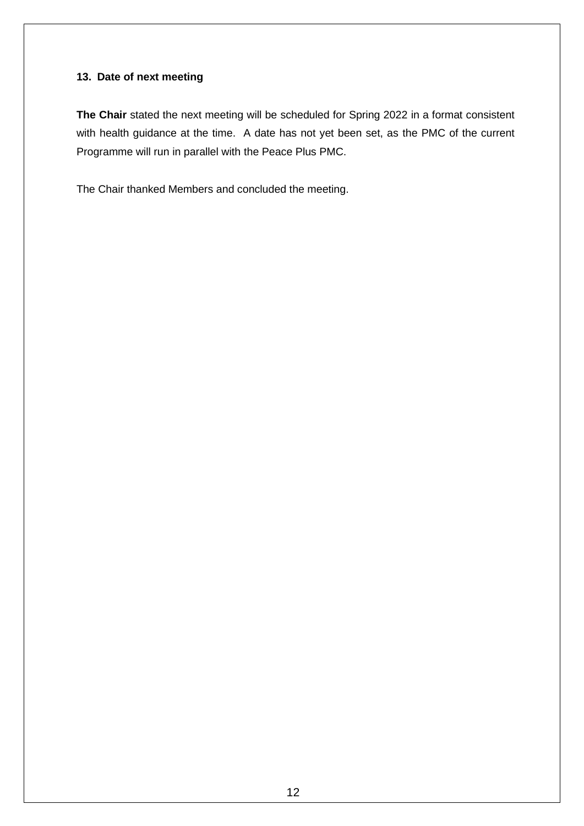#### **13. Date of next meeting**

**The Chair** stated the next meeting will be scheduled for Spring 2022 in a format consistent with health guidance at the time. A date has not yet been set, as the PMC of the current Programme will run in parallel with the Peace Plus PMC.

The Chair thanked Members and concluded the meeting.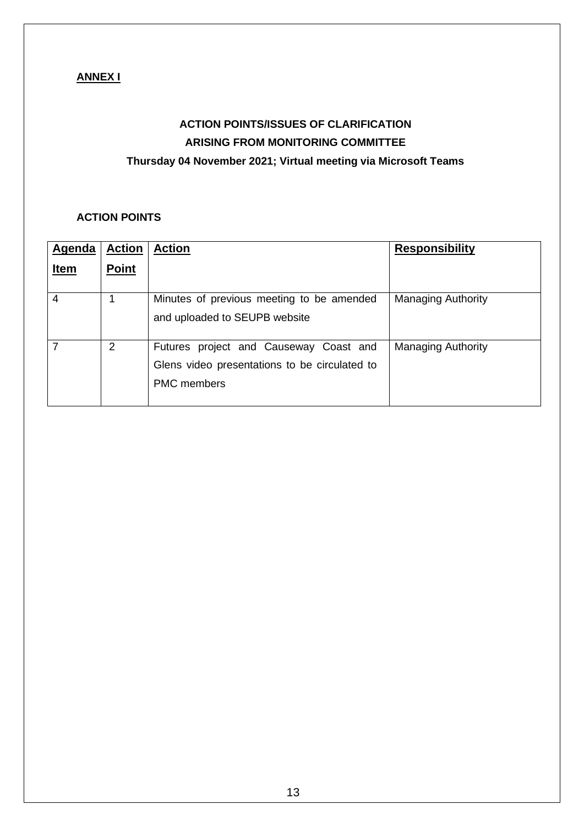## **ANNEX I**

# **ACTION POINTS/ISSUES OF CLARIFICATION ARISING FROM MONITORING COMMITTEE Thursday 04 November 2021; Virtual meeting via Microsoft Teams**

## **ACTION POINTS**

| Agenda      | <b>Action</b> | <b>Action</b>                                                                                                 | <b>Responsibility</b>     |
|-------------|---------------|---------------------------------------------------------------------------------------------------------------|---------------------------|
| <u>Item</u> | <b>Point</b>  |                                                                                                               |                           |
| 4           |               | Minutes of previous meeting to be amended<br>and uploaded to SEUPB website                                    | <b>Managing Authority</b> |
|             | 2             | Futures project and Causeway Coast and<br>Glens video presentations to be circulated to<br><b>PMC</b> members | <b>Managing Authority</b> |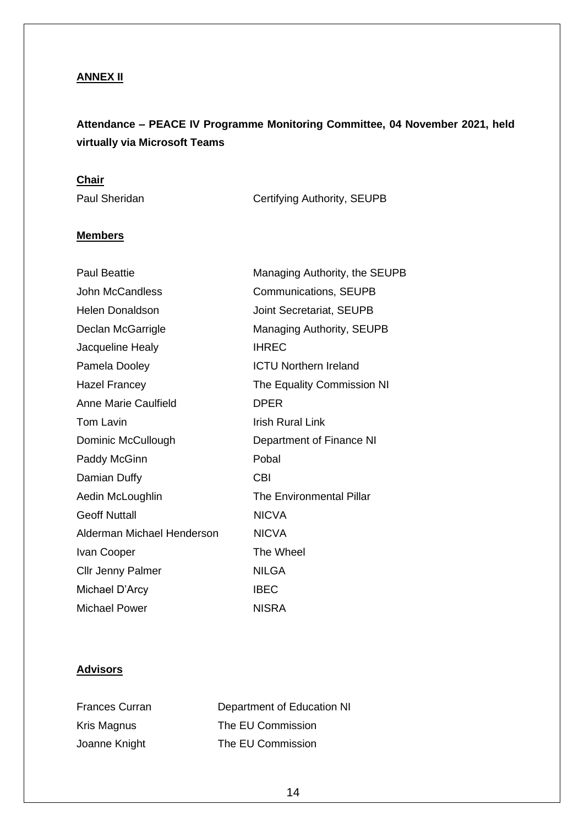## **ANNEX II**

# **Attendance – PEACE IV Programme Monitoring Committee, 04 November 2021, held virtually via Microsoft Teams**

## **Chair**

Paul Sheridan Certifying Authority, SEUPB

## **Members**

| <b>Paul Beattie</b>        | Managing Authority, the SEUPB   |
|----------------------------|---------------------------------|
| <b>John McCandless</b>     | <b>Communications, SEUPB</b>    |
| <b>Helen Donaldson</b>     | <b>Joint Secretariat, SEUPB</b> |
| Declan McGarrigle          | Managing Authority, SEUPB       |
| Jacqueline Healy           | <b>IHREC</b>                    |
| Pamela Dooley              | <b>ICTU Northern Ireland</b>    |
| <b>Hazel Francey</b>       | The Equality Commission NI      |
| Anne Marie Caulfield       | <b>DPER</b>                     |
| Tom Lavin                  | Irish Rural Link                |
| Dominic McCullough         | Department of Finance NI        |
| Paddy McGinn               | Pobal                           |
| Damian Duffy               | <b>CBI</b>                      |
| Aedin McLoughlin           | The Environmental Pillar        |
| <b>Geoff Nuttall</b>       | <b>NICVA</b>                    |
| Alderman Michael Henderson | <b>NICVA</b>                    |
| Ivan Cooper                | The Wheel                       |
| <b>Cllr Jenny Palmer</b>   | <b>NILGA</b>                    |
| Michael D'Arcy             | <b>IBEC</b>                     |
| Michael Power              | <b>NISRA</b>                    |

## **Advisors**

| <b>Frances Curran</b> | Department of Education NI |
|-----------------------|----------------------------|
| Kris Magnus           | The EU Commission          |
| Joanne Knight         | The EU Commission          |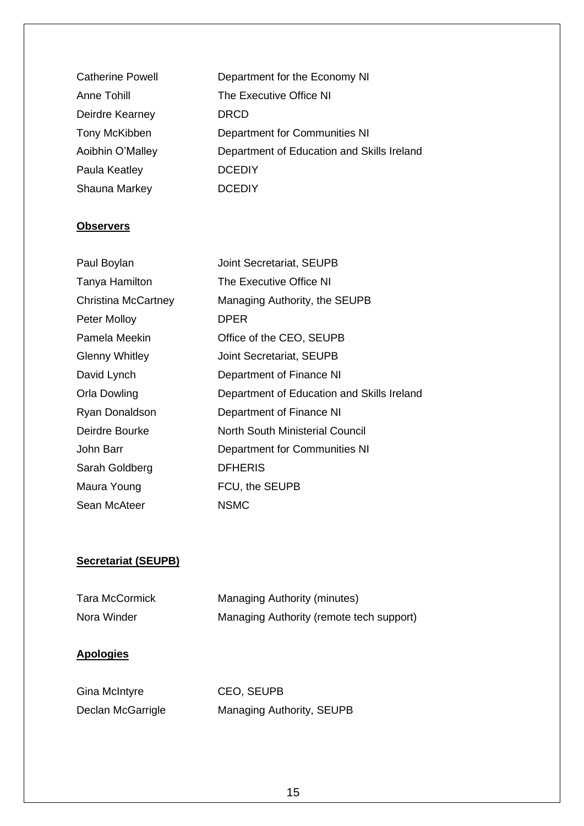| <b>Catherine Powell</b> | Department for the Economy NI              |
|-------------------------|--------------------------------------------|
| <b>Anne Tohill</b>      | The Executive Office NI                    |
| Deirdre Kearney         | <b>DRCD</b>                                |
| <b>Tony McKibben</b>    | Department for Communities NI              |
| Aoibhin O'Malley        | Department of Education and Skills Ireland |
| Paula Keatley           | <b>DCEDIY</b>                              |
| Shauna Markey           | <b>DCEDIY</b>                              |
|                         |                                            |

## **Observers**

| Paul Boylan           | <b>Joint Secretariat, SEUPB</b>            |
|-----------------------|--------------------------------------------|
| Tanya Hamilton        | The Executive Office NI                    |
| Christina McCartney   | Managing Authority, the SEUPB              |
| Peter Molloy          | <b>DPER</b>                                |
| Pamela Meekin         | Office of the CEO, SEUPB                   |
| <b>Glenny Whitley</b> | <b>Joint Secretariat, SEUPB</b>            |
| David Lynch           | Department of Finance NI                   |
| Orla Dowling          | Department of Education and Skills Ireland |
| Ryan Donaldson        | Department of Finance NI                   |
| Deirdre Bourke        | North South Ministerial Council            |
| John Barr             | <b>Department for Communities NI</b>       |
| Sarah Goldberg        | <b>DFHERIS</b>                             |
| Maura Young           | FCU, the SEUPB                             |
| Sean McAteer          | <b>NSMC</b>                                |

## **Secretariat (SEUPB)**

| <b>Tara McCormick</b> | <b>Managing Authority (minutes)</b>      |
|-----------------------|------------------------------------------|
| Nora Winder           | Managing Authority (remote tech support) |

## **Apologies**

| Gina McIntyre     | <b>CEO, SEUPB</b>         |
|-------------------|---------------------------|
| Declan McGarrigle | Managing Authority, SEUPB |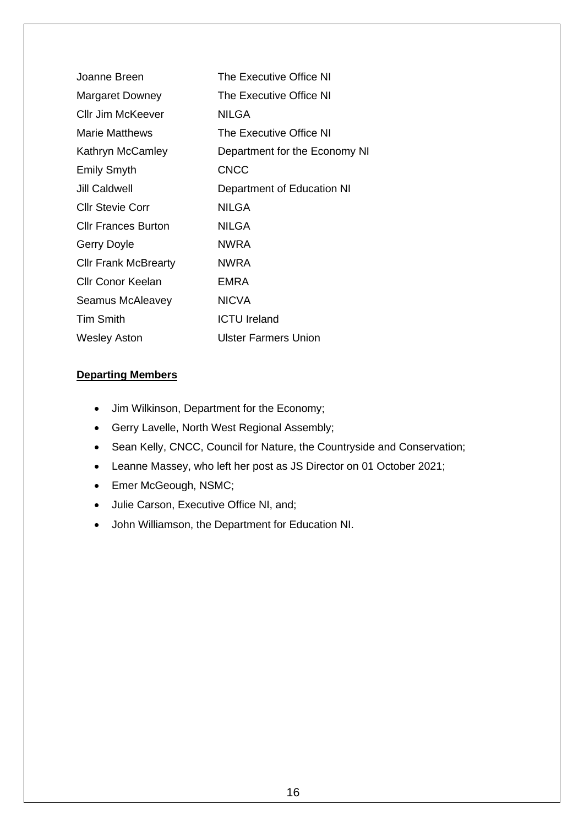| Joanne Breen                | The Executive Office NI       |
|-----------------------------|-------------------------------|
| <b>Margaret Downey</b>      | The Executive Office NI       |
| <b>Cllr Jim McKeever</b>    | <b>NILGA</b>                  |
| Marie Matthews              | The Executive Office NI       |
| Kathryn McCamley            | Department for the Economy NI |
| <b>Emily Smyth</b>          | <b>CNCC</b>                   |
| Jill Caldwell               | Department of Education NI    |
| <b>Cllr Stevie Corr</b>     | <b>NILGA</b>                  |
| <b>Cllr Frances Burton</b>  | <b>NILGA</b>                  |
| Gerry Doyle                 | <b>NWRA</b>                   |
| <b>Cllr Frank McBrearty</b> | <b>NWRA</b>                   |
| Cllr Conor Keelan           | <b>EMRA</b>                   |
| Seamus McAleavey            | <b>NICVA</b>                  |
| <b>Tim Smith</b>            | <b>ICTU Ireland</b>           |
| <b>Wesley Aston</b>         | Ulster Farmers Union          |

#### **Departing Members**

- Jim Wilkinson, Department for the Economy;
- Gerry Lavelle, North West Regional Assembly;
- Sean Kelly, CNCC, Council for Nature, the Countryside and Conservation;
- Leanne Massey, who left her post as JS Director on 01 October 2021;
- Emer McGeough, NSMC;
- Julie Carson, Executive Office NI, and;
- John Williamson, the Department for Education NI.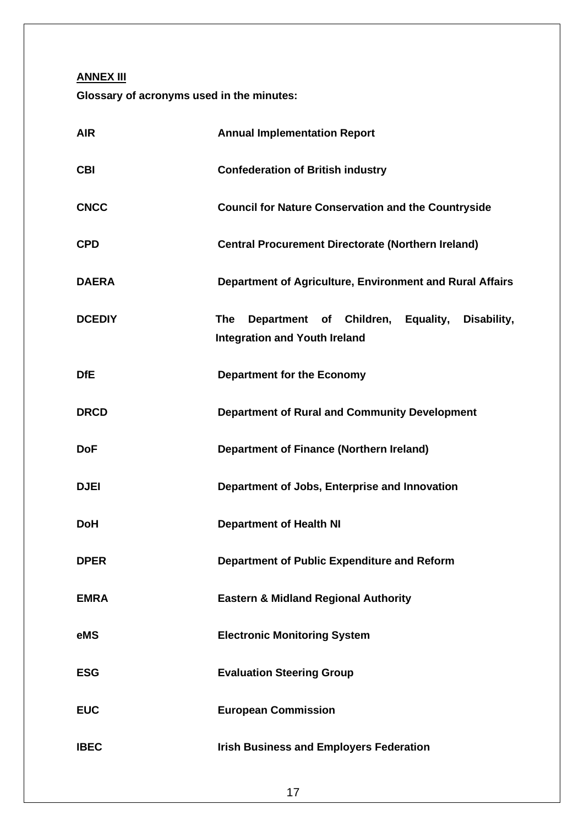**ANNEX III**

**Glossary of acronyms used in the minutes:**

| <b>AIR</b>    | <b>Annual Implementation Report</b>                                                                       |
|---------------|-----------------------------------------------------------------------------------------------------------|
| <b>CBI</b>    | <b>Confederation of British industry</b>                                                                  |
| <b>CNCC</b>   | <b>Council for Nature Conservation and the Countryside</b>                                                |
| <b>CPD</b>    | <b>Central Procurement Directorate (Northern Ireland)</b>                                                 |
| <b>DAERA</b>  | Department of Agriculture, Environment and Rural Affairs                                                  |
| <b>DCEDIY</b> | Children, Equality,<br><b>The</b><br>Department of<br>Disability,<br><b>Integration and Youth Ireland</b> |
| <b>DfE</b>    | <b>Department for the Economy</b>                                                                         |
| <b>DRCD</b>   | <b>Department of Rural and Community Development</b>                                                      |
| <b>DoF</b>    | <b>Department of Finance (Northern Ireland)</b>                                                           |
| <b>DJEI</b>   | Department of Jobs, Enterprise and Innovation                                                             |
| <b>DoH</b>    | <b>Department of Health NI</b>                                                                            |
| <b>DPER</b>   | Department of Public Expenditure and Reform                                                               |
| <b>EMRA</b>   | <b>Eastern &amp; Midland Regional Authority</b>                                                           |
| eMS           | <b>Electronic Monitoring System</b>                                                                       |
| <b>ESG</b>    | <b>Evaluation Steering Group</b>                                                                          |
| <b>EUC</b>    | <b>European Commission</b>                                                                                |
| <b>IBEC</b>   | <b>Irish Business and Employers Federation</b>                                                            |